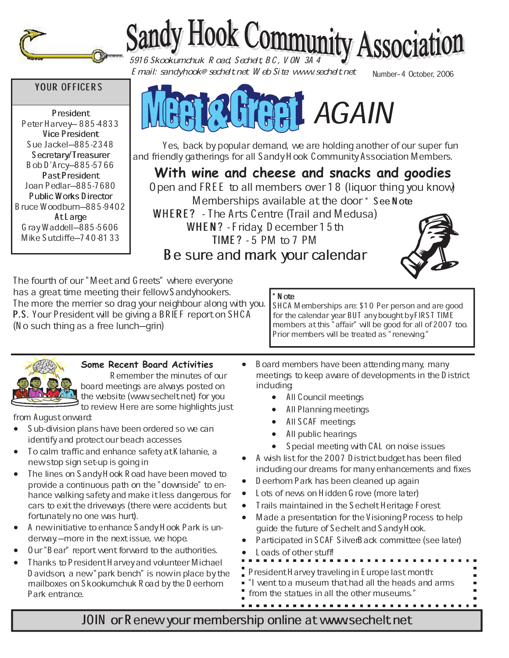

# Sandy Hook Community Association

Number-4 October, 2006 Email: sandyhook@sechelt.net Web Site: www.sechelt.net

# YOUR OFFICERS

President Peter Harvey-885-4833 Vice President Sue Jackel-885-2348 Secretary/Treasurer Bob D'Arcy-885-5766 PastPresident Joan Pedlar-885-7680 Public Works Director Bruce Woodburn $-885-9402$ AtLarge  $G$ ray Waddell $-885-5606$ Mike Sutcliffe-740-8133



 Yes, back by popular demand, we are holding another of our super fun and friendly gatherings for all Sandy Hook Community Association Members.

**With wine and cheese and snacks and goodies** Open and FREE to all members over 18 (liquor thing you know) Memberships available at the door \* See Note WHERE? - The Arts Centre (Trail and Medusa) WHEN? - Friday, D ecember  $15th$  $TIME$  ? - 5 PM to 7 PM Be sure and mark your calendar



The fourth of our "Meet and Greets" where everyone has a great time meeting their fellow Sandyhookers. The more the merrier so drag your neighbour along with you. P.S. Your President will be giving a BRIEF report on SHCA (N o such thing as a free lunch—grin)

### N ote

SHCA Memberships are: \$10 Per person and are good for the calendar year BUT any bought by FIRST TIME members at this "affair" will be good for all of 2007 too. Prior members will be treated as "renewing"



# **Some Recent Board Activities**

Remember the minutes of our board meetings are always posted on the website (www.sechelt.net) for you to review. Here are some highlights just

from August onward:

- Sub-division plans have been ordered so we can identify and protect our beach accesses
- To calm traffic and enhance safety at Klahanie, a new stop sign set-up is going in
- The lines on Sandy Hook Road have been moved to provide a continuous path on the "downside" to enhance walking safety and make it less dangerous for cars to exit the driveways (there were accidents but fortunately no one was hurt).
- x A new initiative to enhance Sandy Hook Park is underway.—more in the next issue, we hope.
- Our "Bear" report went forward to the authorities.
- Thanks to President Harvey and volunteer Michael D avidson, a new" park bench" is now in place by the mailboxes on Skookumchuk Road by the Deerhorn Park entrance.
- Board members have been attending many, many meetings to keep aware of developments in the District including:
	- All Council meetings
	- All Planning meetings
	- All SCAF meetings
	- All public hearings
	- Special meeting with CAL on noise issues
- A wish list for the 2007 D istrict budget has been filed including our dreams for many enhancements and fixes
- D eerhorn Park has been cleaned up again
- Lots of news on Hidden G rove (more later)
- Trails maintained in the Sechelt Heritage Forest
- Made a presentation for the Visioning Process to help guide the future of Sechelt and Sandy Hook.
- Participated in SCAF SilverBack committee (see later)
- Loads of other stuff!
- 
- President Harvey traveling in Europe last month:
- "I went to a museum that had all the heads and arms
- from the statues in all the other museums."

JOIN or Renew your membership online at www.sechelt.net